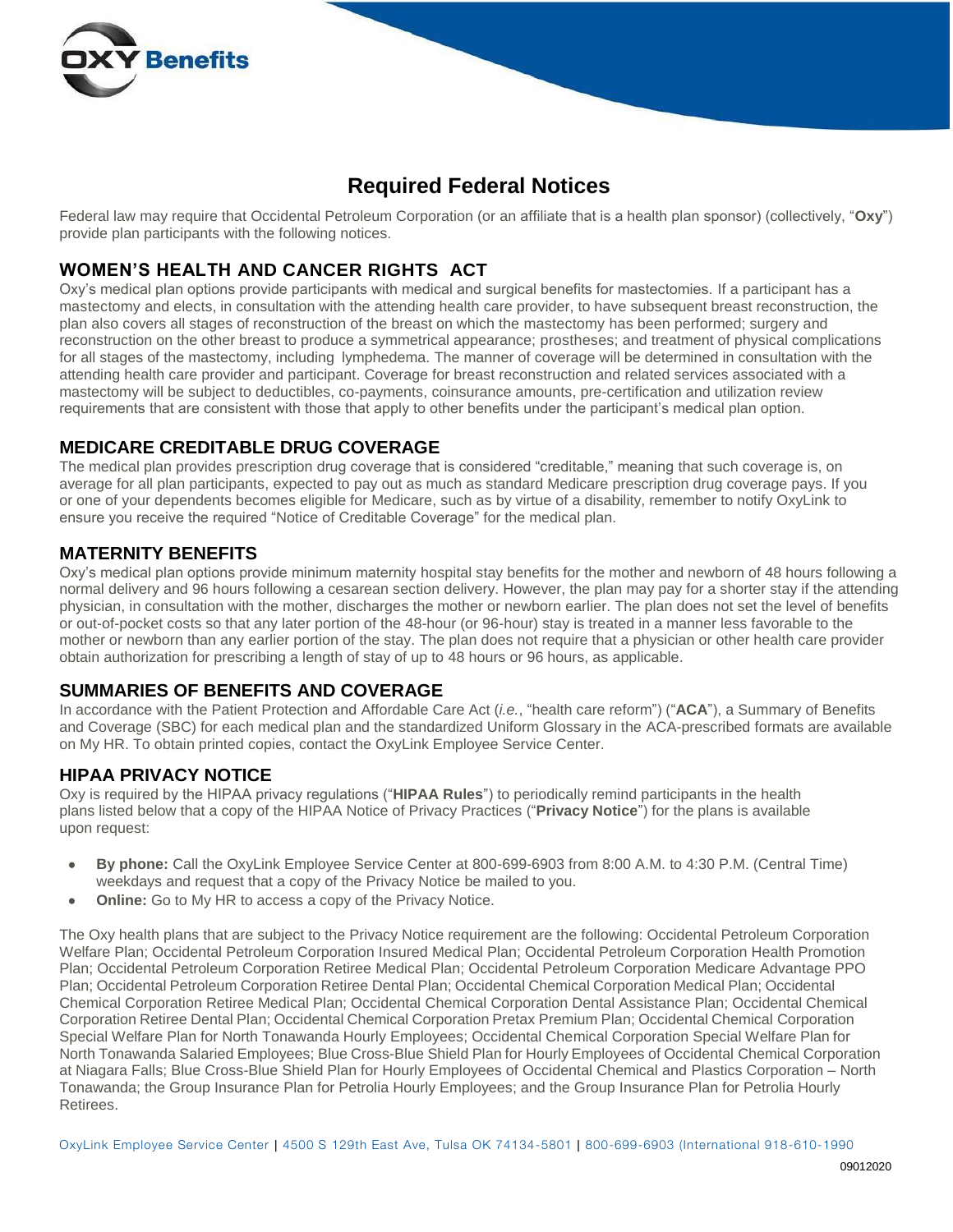

# **Required Federal Notices**

Federal law may require that Occidental Petroleum Corporation (or an affiliate that is a health plan sponsor) (collectively, "**Oxy**") provide plan participants with the following notices.

### **WOMEN'S HEALTH AND CANCER RIGHTS ACT**

Oxy's medical plan options provide participants with medical and surgical benefits for mastectomies. If a participant has a mastectomy and elects, in consultation with the attending health care provider, to have subsequent breast reconstruction, the plan also covers all stages of reconstruction of the breast on which the mastectomy has been performed; surgery and reconstruction on the other breast to produce a symmetrical appearance; prostheses; and treatment of physical complications for all stages of the mastectomy, including lymphedema. The manner of coverage will be determined in consultation with the attending health care provider and participant. Coverage for breast reconstruction and related services associated with a mastectomy will be subject to deductibles, co-payments, coinsurance amounts, pre-certification and utilization review requirements that are consistent with those that apply to other benefits under the participant's medical plan option.

### **MEDICARE CREDITABLE DRUG COVERAGE**

The medical plan provides prescription drug coverage that is considered "creditable," meaning that such coverage is, on average for all plan participants, expected to pay out as much as standard Medicare prescription drug coverage pays. If you or one of your dependents becomes eligible for Medicare, such as by virtue of a disability, remember to notify OxyLink to ensure you receive the required "Notice of Creditable Coverage" for the medical plan.

### **MATERNITY BENEFITS**

Oxy's medical plan options provide minimum maternity hospital stay benefits for the mother and newborn of 48 hours following a normal delivery and 96 hours following a cesarean section delivery. However, the plan may pay for a shorter stay if the attending physician, in consultation with the mother, discharges the mother or newborn earlier. The plan does not set the level of benefits or out-of-pocket costs so that any later portion of the 48-hour (or 96-hour) stay is treated in a manner less favorable to the mother or newborn than any earlier portion of the stay. The plan does not require that a physician or other health care provider obtain authorization for prescribing a length of stay of up to 48 hours or 96 hours, as applicable.

### **SUMMARIES OF BENEFITS AND COVERAGE**

In accordance with the Patient Protection and Affordable Care Act (*i.e.*, "health care reform") ("**ACA**"), a Summary of Benefits and Coverage (SBC) for each medical plan and the standardized Uniform Glossary in the ACA-prescribed formats are available on My HR. To obtain printed copies, contact the OxyLink Employee Service Center.

### **HIPAA PRIVACY NOTICE**

Oxy is required by the HIPAA privacy regulations ("**HIPAA Rules**") to periodically remind participants in the health plans listed below that a copy of the HIPAA Notice of Privacy Practices ("**Privacy Notice**") for the plans is available upon request:

- **By phone:** Call the OxyLink Employee Service Center at 800-699-6903 from 8:00 A.M. to 4:30 P.M. (Central Time) weekdays and request that a copy of the Privacy Notice be mailed to you.
- **Online:** Go to My HR to access a copy of the Privacy Notice.

The Oxy health plans that are subject to the Privacy Notice requirement are the following: Occidental Petroleum Corporation Welfare Plan; Occidental Petroleum Corporation Insured Medical Plan; Occidental Petroleum Corporation Health Promotion Plan; Occidental Petroleum Corporation Retiree Medical Plan; Occidental Petroleum Corporation Medicare Advantage PPO Plan; Occidental Petroleum Corporation Retiree Dental Plan; Occidental Chemical Corporation Medical Plan; Occidental Chemical Corporation Retiree Medical Plan; Occidental Chemical Corporation Dental Assistance Plan; Occidental Chemical Corporation Retiree Dental Plan; Occidental Chemical Corporation Pretax Premium Plan; Occidental Chemical Corporation Special Welfare Plan for North Tonawanda Hourly Employees; Occidental Chemical Corporation Special Welfare Plan for North Tonawanda Salaried Employees; Blue Cross-Blue Shield Plan for Hourly Employees of Occidental Chemical Corporation at Niagara Falls; Blue Cross-Blue Shield Plan for Hourly Employees of Occidental Chemical and Plastics Corporation – North Tonawanda; the Group Insurance Plan for Petrolia Hourly Employees; and the Group Insurance Plan for Petrolia Hourly Retirees.

OxyLink Employee Service Center | 4500 S 129th East Ave, Tulsa OK 74134-5801 | 800-699-6903 (International 918-610-1990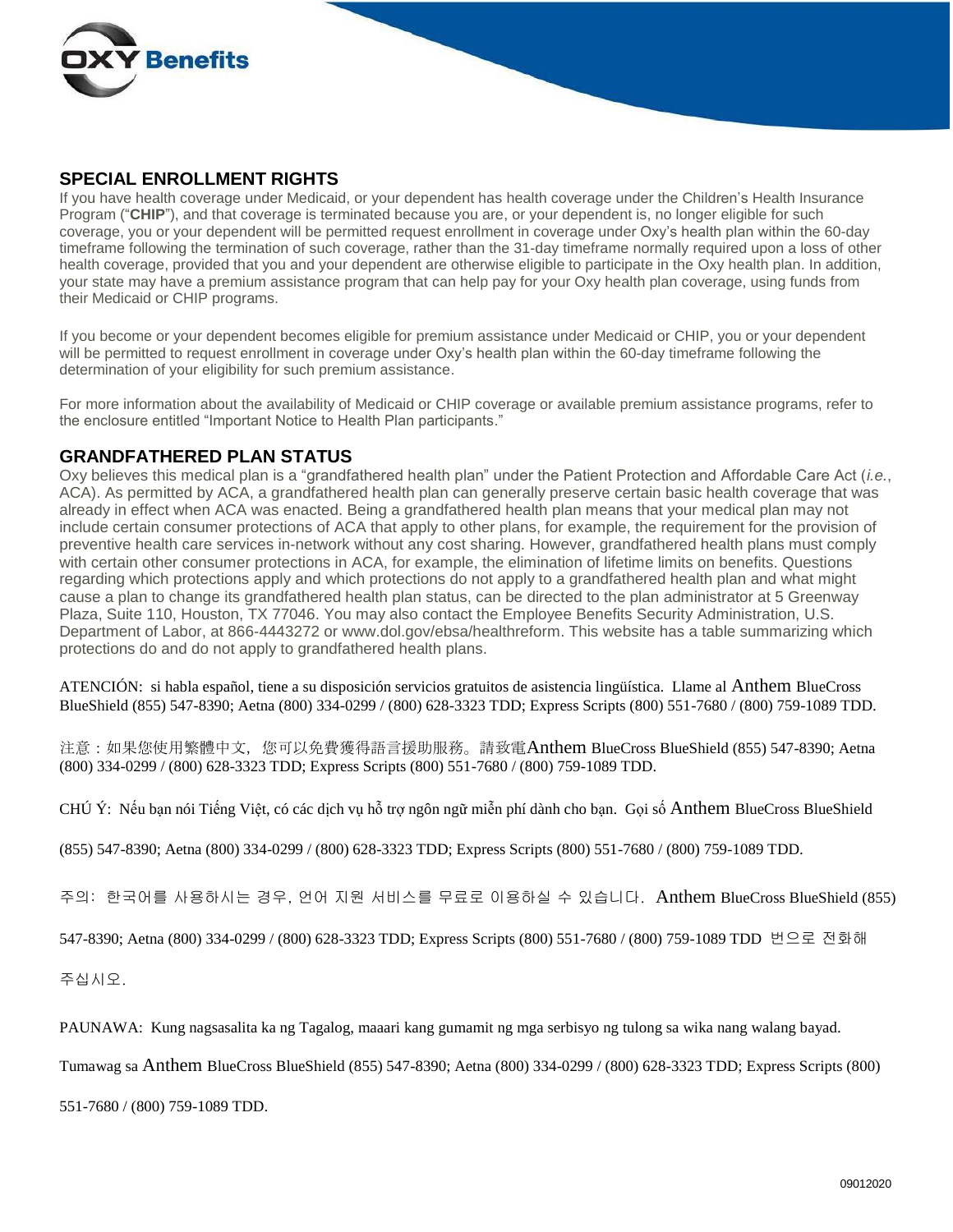

#### **SPECIAL ENROLLMENT RIGHTS**

If you have health coverage under Medicaid, or your dependent has health coverage under the Children's Health Insurance Program ("**CHIP**"), and that coverage is terminated because you are, or your dependent is, no longer eligible for such coverage, you or your dependent will be permitted request enrollment in coverage under Oxy's health plan within the 60-day timeframe following the termination of such coverage, rather than the 31-day timeframe normally required upon a loss of other health coverage, provided that you and your dependent are otherwise eligible to participate in the Oxy health plan. In addition, your state may have a premium assistance program that can help pay for your Oxy health plan coverage, using funds from their Medicaid or CHIP programs.

If you become or your dependent becomes eligible for premium assistance under Medicaid or CHIP, you or your dependent will be permitted to request enrollment in coverage under Oxy's health plan within the 60-day timeframe following the determination of your eligibility for such premium assistance.

For more information about the availability of Medicaid or CHIP coverage or available premium assistance programs, refer to the enclosure entitled "Important Notice to Health Plan participants."

#### **GRANDFATHERED PLAN STATUS**

Oxy believes this medical plan is a "grandfathered health plan" under the Patient Protection and Affordable Care Act (*i.e.*, ACA). As permitted by ACA, a grandfathered health plan can generally preserve certain basic health coverage that was already in effect when ACA was enacted. Being a grandfathered health plan means that your medical plan may not include certain consumer protections of ACA that apply to other plans, for example, the requirement for the provision of preventive health care services in-network without any cost sharing. However, grandfathered health plans must comply with certain other consumer protections in ACA, for example, the elimination of lifetime limits on benefits. Questions regarding which protections apply and which protections do not apply to a grandfathered health plan and what might cause a plan to change its grandfathered health plan status, can be directed to the plan administrator at 5 Greenway Plaza, Suite 110, Houston, TX 77046. You may also contact the Employee Benefits Security Administration, U.S. Department of Labor, at 866-4443272 or [www.dol.gov/ebsa/healthreform.](http://www.dol.gov/ebsa/healthreform) This website has a table summarizing which protections do and do not apply to grandfathered health plans.

ATENCIÓN: si habla español, tiene a su disposición servicios gratuitos de asistencia lingüística. Llame al Anthem BlueCross BlueShield (855) 547-8390; Aetna (800) 334-0299 / (800) 628-3323 TDD; Express Scripts (800) 551-7680 / (800) 759-1089 TDD.

注意:如果您使用繁體中文,您可以免費獲得語言援助服務。請致電Anthem BlueCross BlueShield (855) 547-8390; Aetna (800) 334-0299 / (800) 628-3323 TDD; Express Scripts (800) 551-7680 / (800) 759-1089 TDD.

CHÚ Ý: Nếu bạn nói Tiếng Việt, có các dịch vụ hỗ trợ ngôn ngữ miễn phí dành cho bạn. Gọi số Anthem BlueCross BlueShield

(855) 547-8390; Aetna (800) 334-0299 / (800) 628-3323 TDD; Express Scripts (800) 551-7680 / (800) 759-1089 TDD.

주의: 한국어를 사용하시는 경우, 언어 지원 서비스를 무료로 이용하실 수 있습니다. Anthem BlueCross BlueShield (855)

547-8390; Aetna (800) 334-0299 / (800) 628-3323 TDD; Express Scripts (800) 551-7680 / (800) 759-1089 TDD 번으로 전화해

주십시오.

PAUNAWA: Kung nagsasalita ka ng Tagalog, maaari kang gumamit ng mga serbisyo ng tulong sa wika nang walang bayad.

Tumawag sa Anthem BlueCross BlueShield (855) 547-8390; Aetna (800) 334-0299 / (800) 628-3323 TDD; Express Scripts (800)

551-7680 / (800) 759-1089 TDD.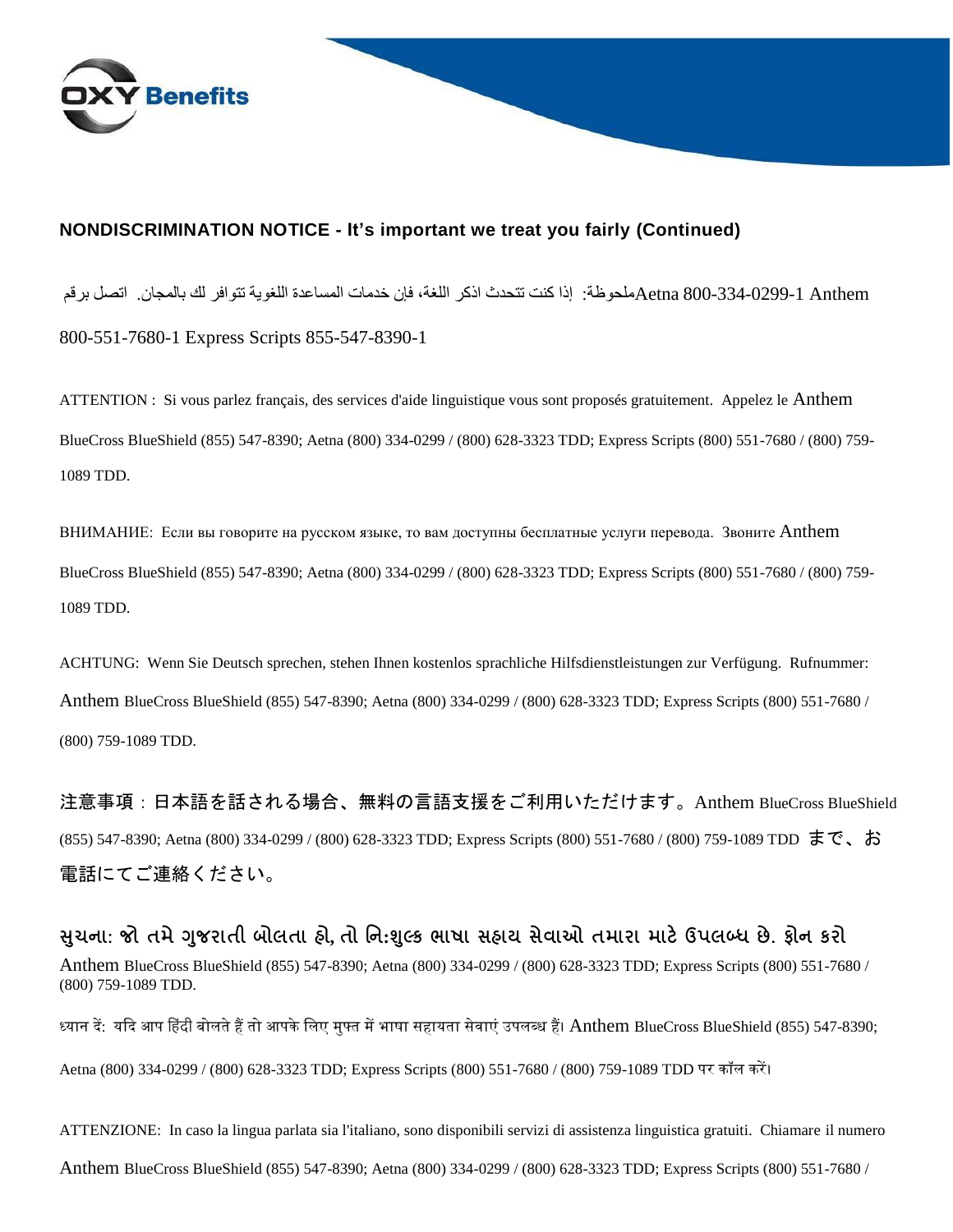

### **NONDISCRIMINATION NOTICE - It's important we treat you fairly (Continued)**

 Anthem 800-334-0299-1 Aetnaملحوظة: إذا كنت تتحدث اذكر اللغة، فإن خدمات المساعدة اللغوية تتوافر لك بالمجان. اتصل برقم 800-551-7680-1 Express Scripts 855-547-8390-1

ATTENTION : Si vous parlez français, des services d'aide linguistique vous sont proposés gratuitement. Appelez le Anthem BlueCross BlueShield (855) 547-8390; Aetna (800) 334-0299 / (800) 628-3323 TDD; Express Scripts (800) 551-7680 / (800) 759- 1089 TDD.

ВНИМАНИЕ: Если вы говорите на русском языке, то вам доступны бесплатные услуги перевода. Звоните Anthem BlueCross BlueShield (855) 547-8390; Aetna (800) 334-0299 / (800) 628-3323 TDD; Express Scripts (800) 551-7680 / (800) 759- 1089 TDD.

ACHTUNG: Wenn Sie Deutsch sprechen, stehen Ihnen kostenlos sprachliche Hilfsdienstleistungen zur Verfügung. Rufnummer: Anthem BlueCross BlueShield (855) 547-8390; Aetna (800) 334-0299 / (800) 628-3323 TDD; Express Scripts (800) 551-7680 / (800) 759-1089 TDD.

注意事項:日本語を話される場合、無料の言語支援をご利用いただけます。Anthem BlueCross BlueShield (855) 547-8390; Aetna (800) 334-0299 / (800) 628-3323 TDD; Express Scripts (800) 551-7680 / (800) 759-1089 TDD まで、お 電話にてご連絡ください。

**સચુ ના: જો તમેગજુ રાતી બોલતા હો, તો નન:શલ્ુક ભાષા સહાય સેવાઓ તમારા માટેઉપલબ્ધ છે. ફોન કરો** Anthem BlueCross BlueShield (855) 547-8390; Aetna (800) 334-0299 / (800) 628-3323 TDD; Express Scripts (800) 551-7680 / (800) 759-1089 TDD.

ध्यान दें: यदि आप हिंदी बोलते हैं तो आपके लिए मुफ्त में भाषा सहायता सेवाएं उपलब्ध हैं। Anthem BlueCross BlueShield (855) 547-8390;

Aetna (800) 334-0299 / (800) 628-3323 TDD; Express Scripts (800) 551-7680 / (800) 759-1089 TDD पर कॉल करें।

ATTENZIONE: In caso la lingua parlata sia l'italiano, sono disponibili servizi di assistenza linguistica gratuiti. Chiamare il numero Anthem BlueCross BlueShield (855) 547-8390; Aetna (800) 334-0299 / (800) 628-3323 TDD; Express Scripts (800) 551-7680 /